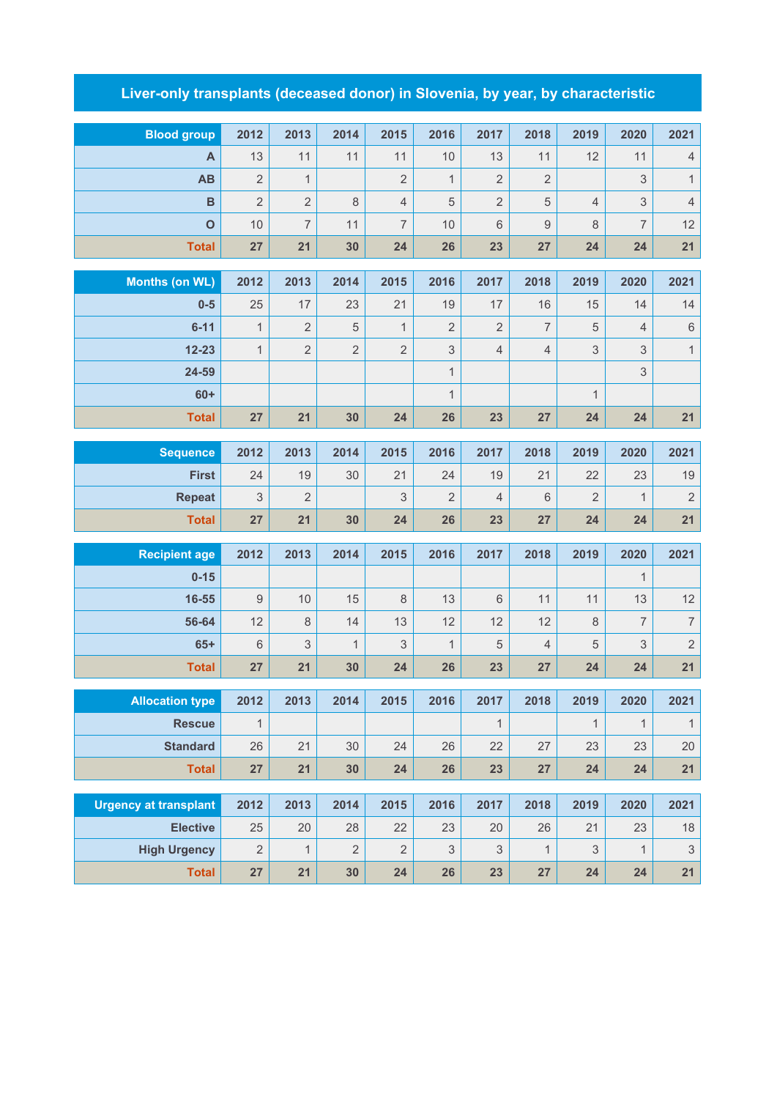## **Liver-only transplants (deceased donor) in Slovenia, by year, by characteristic**

| <b>Blood group</b>           | 2012           | 2013           | 2014           | 2015           | 2016           | 2017                      | 2018             | 2019           | 2020           | 2021                     |
|------------------------------|----------------|----------------|----------------|----------------|----------------|---------------------------|------------------|----------------|----------------|--------------------------|
| A                            | 13             | 11             | 11             | 11             | 10             | 13                        | 11               | 12             | 11             | $\sqrt{4}$               |
| AB                           | $\overline{2}$ | 1              |                | $\overline{2}$ | $\mathbf{1}$   | $\overline{2}$            | $\sqrt{2}$       |                | 3              | $\mathbf{1}$             |
| $\overline{B}$               | $\overline{2}$ | $\overline{2}$ | 8              | $\overline{4}$ | $\sqrt{5}$     | $\overline{2}$            | $\mathbf 5$      | $\overline{4}$ | 3              | $\overline{4}$           |
| $\mathbf{o}$                 | 10             | $\overline{7}$ | 11             | $\overline{7}$ | 10             | 6                         | $\boldsymbol{9}$ | 8              | $\overline{7}$ | 12                       |
| <b>Total</b>                 | 27             | 21             | 30             | 24             | 26             | 23                        | 27               | 24             | 24             | 21                       |
| <b>Months (on WL)</b>        | 2012           | 2013           | 2014           | 2015           | 2016           | 2017                      | 2018             | 2019           | 2020           | 2021                     |
| $0-5$                        | 25             | 17             | 23             | 21             | 19             | 17                        | 16               | 15             | 14             | 14                       |
| $6 - 11$                     | $\mathbf{1}$   | $\overline{2}$ | 5              | $\mathbf{1}$   | $\overline{2}$ | $\overline{2}$            | $\overline{7}$   | $\sqrt{5}$     | $\overline{4}$ | $\,$ 6 $\,$              |
| $12 - 23$                    | $\overline{1}$ | $\overline{2}$ | $\overline{2}$ | $\overline{2}$ | $\sqrt{3}$     | $\overline{4}$            | $\sqrt{4}$       | 3              | 3              | $\overline{1}$           |
| 24-59                        |                |                |                |                | $\mathbf{1}$   |                           |                  |                |                |                          |
| $60+$                        |                |                |                |                | $\mathbf{1}$   |                           |                  | $\mathbf{1}$   | 3              |                          |
| <b>Total</b>                 | 27             | 21             | 30             | 24             | 26             | 23                        | 27               | 24             | 24             | 21                       |
|                              |                |                |                |                |                |                           |                  |                |                |                          |
| <b>Sequence</b>              | 2012           | 2013           | 2014           | 2015           | 2016           | 2017                      | 2018             | 2019           | 2020           | 2021                     |
| <b>First</b>                 | 24             | 19             | 30             | 21             | 24             | 19                        | 21               | 22             | 23             | 19                       |
| <b>Repeat</b>                | 3              | $\overline{2}$ |                | 3              | $\overline{2}$ | $\overline{4}$            | 6                | $\overline{2}$ | $\mathbf{1}$   | $\overline{2}$           |
| <b>Total</b>                 | 27             | 21             | 30             | 24             | 26             | 23                        | 27               | 24             | 24             | 21                       |
|                              |                |                |                |                |                |                           |                  |                |                |                          |
| <b>Recipient age</b>         | 2012           | 2013           | 2014           | 2015           | 2016           | 2017                      | 2018             | 2019           | 2020           | 2021                     |
| $0 - 15$                     |                |                |                |                |                |                           |                  |                | 1              |                          |
| 16-55                        | $\mathsf g$    | 10             | 15             | $\,8\,$        | 13             | $6\,$                     | 11               | 11             | 13             | 12                       |
| 56-64                        | 12             | $\,8\,$        | 14             | 13             | 12             | 12                        | 12               | $\,8\,$        | $\overline{7}$ | $\overline{\mathcal{I}}$ |
| $65+$                        | 6              | 3              | $\mathbf{1}$   | 3              | $\mathbf{1}$   | 5                         | $\sqrt{4}$       | 5              | 3              | $\sqrt{2}$               |
| <b>Total</b>                 | 27             | 21             | 30             | 24             | 26             | 23                        | 27               | 24             | 24             | 21                       |
| <b>Allocation type</b>       | 2012           | 2013           | 2014           | 2015           | 2016           | 2017                      | 2018             | 2019           | 2020           | 2021                     |
| <b>Rescue</b>                | $\overline{1}$ |                |                |                |                | $\mathbf{1}$              |                  | $\mathbf{1}$   | $\mathbf{1}$   | $\mathbf{1}$             |
| <b>Standard</b>              | 26             | 21             | 30             | 24             | 26             | 22                        | 27               | 23             | 23             | 20                       |
| <b>Total</b>                 | 27             | 21             | 30             | 24             | 26             | 23                        | 27               | 24             | 24             | 21                       |
|                              |                |                |                |                |                |                           |                  |                |                |                          |
| <b>Urgency at transplant</b> | 2012           | 2013           | 2014           | 2015           | 2016           | 2017                      | 2018             | 2019           | 2020           | 2021                     |
| <b>Elective</b>              | 25             | 20             | 28             | 22             | 23             | 20                        | 26               | 21             | 23             | 18                       |
| <b>High Urgency</b>          | $\overline{2}$ | $\mathbf{1}$   | $\sqrt{2}$     | $\overline{2}$ | 3              | $\ensuremath{\mathsf{3}}$ | $\mathbf{1}$     | 3              | 1              | $\mathsf 3$              |
| <b>Total</b>                 | 27             | 21             | 30             | 24             | 26             | 23                        | 27               | 24             | 24             | 21                       |